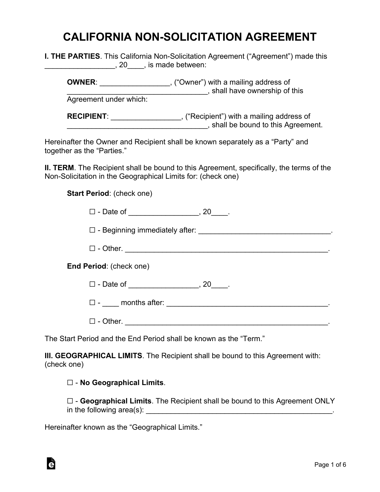## **CALIFORNIA NON-SOLICITATION AGREEMENT**

**I. THE PARTIES**. This California Non-Solicitation Agreement ("Agreement") made this \_\_\_\_\_\_\_\_\_\_\_\_\_\_\_\_\_, 20\_\_\_\_, is made between:

**OWNER:**  $\qquad \qquad$ , ("Owner") with a mailing address of \_\_\_\_\_\_\_\_\_\_\_\_\_\_\_\_\_\_\_\_\_\_\_\_\_\_\_\_\_\_\_\_\_\_, shall have ownership of this Agreement under which: **RECIPIENT**: \_\_\_\_\_\_\_\_\_\_\_\_\_\_\_\_\_, ("Recipient") with a mailing address of **EXECUTE:** Shall be bound to this Agreement.

Hereinafter the Owner and Recipient shall be known separately as a "Party" and together as the "Parties."

**II. TERM**. The Recipient shall be bound to this Agreement, specifically, the terms of the Non-Solicitation in the Geographical Limits for: (check one)

**Start Period**: (check one)

 $\Box$  - Date of  $\Box$  , 20

 $\Box$  - Beginning immediately after:  $\Box$ 

☐ - Other. \_\_\_\_\_\_\_\_\_\_\_\_\_\_\_\_\_\_\_\_\_\_\_\_\_\_\_\_\_\_\_\_\_\_\_\_\_\_\_\_\_\_\_\_\_\_\_\_\_.

**End Period**: (check one)

☐ - Date of \_\_\_\_\_\_\_\_\_\_\_\_\_\_\_\_\_, 20\_\_\_\_.

☐ - \_\_\_\_ months after: \_\_\_\_\_\_\_\_\_\_\_\_\_\_\_\_\_\_\_\_\_\_\_\_\_\_\_\_\_\_\_\_\_\_\_\_\_\_\_.

 $\Box$  - Other.

The Start Period and the End Period shall be known as the "Term."

**III. GEOGRAPHICAL LIMITS**. The Recipient shall be bound to this Agreement with: (check one)

☐ - **No Geographical Limits**.

☐ - **Geographical Limits**. The Recipient shall be bound to this Agreement ONLY in the following area(s):

Hereinafter known as the "Geographical Limits."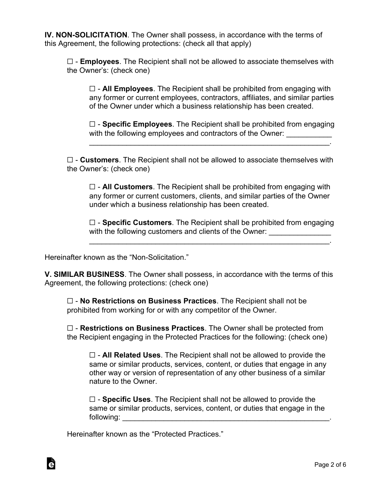**IV. NON-SOLICITATION**. The Owner shall possess, in accordance with the terms of this Agreement, the following protections: (check all that apply)

☐ - **Employees**. The Recipient shall not be allowed to associate themselves with the Owner's: (check one)

☐ - **All Employees**. The Recipient shall be prohibited from engaging with any former or current employees, contractors, affiliates, and similar parties of the Owner under which a business relationship has been created.

☐ - **Specific Employees**. The Recipient shall be prohibited from engaging with the following employees and contractors of the Owner: \_\_\_\_\_\_\_\_\_\_\_\_

 $\mathcal{L}_\text{max}$  and  $\mathcal{L}_\text{max}$  and  $\mathcal{L}_\text{max}$  and  $\mathcal{L}_\text{max}$  and  $\mathcal{L}_\text{max}$  and  $\mathcal{L}_\text{max}$ 

☐ - **Customers**. The Recipient shall not be allowed to associate themselves with the Owner's: (check one)

☐ - **All Customers**. The Recipient shall be prohibited from engaging with any former or current customers, clients, and similar parties of the Owner under which a business relationship has been created.

☐ - **Specific Customers**. The Recipient shall be prohibited from engaging with the following customers and clients of the Owner:

 $\mathcal{L}_\text{max}$  and  $\mathcal{L}_\text{max}$  and  $\mathcal{L}_\text{max}$  and  $\mathcal{L}_\text{max}$  and  $\mathcal{L}_\text{max}$  and  $\mathcal{L}_\text{max}$ 

Hereinafter known as the "Non-Solicitation."

**V. SIMILAR BUSINESS**. The Owner shall possess, in accordance with the terms of this Agreement, the following protections: (check one)

☐ - **No Restrictions on Business Practices**. The Recipient shall not be prohibited from working for or with any competitor of the Owner.

☐ - **Restrictions on Business Practices**. The Owner shall be protected from the Recipient engaging in the Protected Practices for the following: (check one)

☐ - **All Related Uses**. The Recipient shall not be allowed to provide the same or similar products, services, content, or duties that engage in any other way or version of representation of any other business of a similar nature to the Owner.

☐ - **Specific Uses**. The Recipient shall not be allowed to provide the same or similar products, services, content, or duties that engage in the following:

Hereinafter known as the "Protected Practices."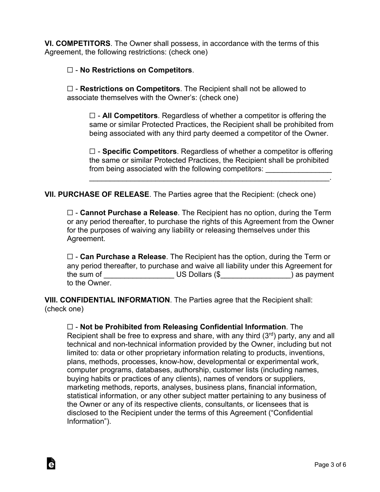**VI. COMPETITORS**. The Owner shall possess, in accordance with the terms of this Agreement, the following restrictions: (check one)

## ☐ - **No Restrictions on Competitors**.

à

☐ - **Restrictions on Competitors**. The Recipient shall not be allowed to associate themselves with the Owner's: (check one)

☐ - **All Competitors**. Regardless of whether a competitor is offering the same or similar Protected Practices, the Recipient shall be prohibited from being associated with any third party deemed a competitor of the Owner.

☐ - **Specific Competitors**. Regardless of whether a competitor is offering the same or similar Protected Practices, the Recipient shall be prohibited from being associated with the following competitors:

\_\_\_\_\_\_\_\_\_\_\_\_\_\_\_\_\_\_\_\_\_\_\_\_\_\_\_\_\_\_\_\_\_\_\_\_\_\_\_\_\_\_\_\_\_\_\_\_\_\_\_\_\_\_\_\_\_\_.

**VII. PURCHASE OF RELEASE**. The Parties agree that the Recipient: (check one)

☐ - **Cannot Purchase a Release**. The Recipient has no option, during the Term or any period thereafter, to purchase the rights of this Agreement from the Owner for the purposes of waiving any liability or releasing themselves under this Agreement.

☐ - **Can Purchase a Release**. The Recipient has the option, during the Term or any period thereafter, to purchase and waive all liability under this Agreement for the sum of The Sum of The Sum of The Sum of The Sum of The Sum of The Sum of The Sum of The Sum of The Sum of T to the Owner.

**VIII. CONFIDENTIAL INFORMATION**. The Parties agree that the Recipient shall: (check one)

## ☐ - **Not be Prohibited from Releasing Confidential Information**. The Recipient shall be free to express and share, with any third  $(3<sup>rd</sup>)$  party, any and all technical and non-technical information provided by the Owner, including but not limited to: data or other proprietary information relating to products, inventions, plans, methods, processes, know-how, developmental or experimental work, computer programs, databases, authorship, customer lists (including names, buying habits or practices of any clients), names of vendors or suppliers, marketing methods, reports, analyses, business plans, financial information, statistical information, or any other subject matter pertaining to any business of the Owner or any of its respective clients, consultants, or licensees that is disclosed to the Recipient under the terms of this Agreement ("Confidential Information").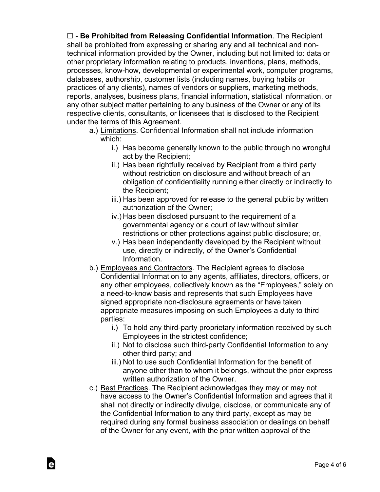☐ - **Be Prohibited from Releasing Confidential Information**. The Recipient shall be prohibited from expressing or sharing any and all technical and nontechnical information provided by the Owner, including but not limited to: data or other proprietary information relating to products, inventions, plans, methods, processes, know-how, developmental or experimental work, computer programs, databases, authorship, customer lists (including names, buying habits or practices of any clients), names of vendors or suppliers, marketing methods, reports, analyses, business plans, financial information, statistical information, or any other subject matter pertaining to any business of the Owner or any of its respective clients, consultants, or licensees that is disclosed to the Recipient under the terms of this Agreement.

- a.) Limitations. Confidential Information shall not include information which:
	- i.) Has become generally known to the public through no wrongful act by the Recipient;
	- ii.) Has been rightfully received by Recipient from a third party without restriction on disclosure and without breach of an obligation of confidentiality running either directly or indirectly to the Recipient;
	- iii.) Has been approved for release to the general public by written authorization of the Owner;
	- iv.) Has been disclosed pursuant to the requirement of a governmental agency or a court of law without similar restrictions or other protections against public disclosure; or,
	- v.) Has been independently developed by the Recipient without use, directly or indirectly, of the Owner's Confidential Information.
- b.) Employees and Contractors. The Recipient agrees to disclose Confidential Information to any agents, affiliates, directors, officers, or any other employees, collectively known as the "Employees," solely on a need-to-know basis and represents that such Employees have signed appropriate non-disclosure agreements or have taken appropriate measures imposing on such Employees a duty to third parties:
	- i.) To hold any third-party proprietary information received by such Employees in the strictest confidence;
	- ii.) Not to disclose such third-party Confidential Information to any other third party; and
	- iii.) Not to use such Confidential Information for the benefit of anyone other than to whom it belongs, without the prior express written authorization of the Owner.
- c.) Best Practices. The Recipient acknowledges they may or may not have access to the Owner's Confidential Information and agrees that it shall not directly or indirectly divulge, disclose, or communicate any of the Confidential Information to any third party, except as may be required during any formal business association or dealings on behalf of the Owner for any event, with the prior written approval of the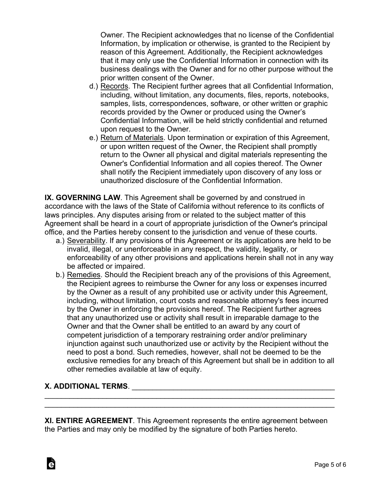Owner. The Recipient acknowledges that no license of the Confidential Information, by implication or otherwise, is granted to the Recipient by reason of this Agreement. Additionally, the Recipient acknowledges that it may only use the Confidential Information in connection with its business dealings with the Owner and for no other purpose without the prior written consent of the Owner.

- d.) Records. The Recipient further agrees that all Confidential Information, including, without limitation, any documents, files, reports, notebooks, samples, lists, correspondences, software, or other written or graphic records provided by the Owner or produced using the Owner's Confidential Information, will be held strictly confidential and returned upon request to the Owner.
- e.) Return of Materials. Upon termination or expiration of this Agreement, or upon written request of the Owner, the Recipient shall promptly return to the Owner all physical and digital materials representing the Owner's Confidential Information and all copies thereof. The Owner shall notify the Recipient immediately upon discovery of any loss or unauthorized disclosure of the Confidential Information.

**IX. GOVERNING LAW**. This Agreement shall be governed by and construed in accordance with the laws of the State of California without reference to its conflicts of laws principles. Any disputes arising from or related to the subject matter of this Agreement shall be heard in a court of appropriate jurisdiction of the Owner's principal office, and the Parties hereby consent to the jurisdiction and venue of these courts.

- a.) Severability. If any provisions of this Agreement or its applications are held to be invalid, illegal, or unenforceable in any respect, the validity, legality, or enforceability of any other provisions and applications herein shall not in any way be affected or impaired.
- b.) Remedies. Should the Recipient breach any of the provisions of this Agreement, the Recipient agrees to reimburse the Owner for any loss or expenses incurred by the Owner as a result of any prohibited use or activity under this Agreement, including, without limitation, court costs and reasonable attorney's fees incurred by the Owner in enforcing the provisions hereof. The Recipient further agrees that any unauthorized use or activity shall result in irreparable damage to the Owner and that the Owner shall be entitled to an award by any court of competent jurisdiction of a temporary restraining order and/or preliminary injunction against such unauthorized use or activity by the Recipient without the need to post a bond. Such remedies, however, shall not be deemed to be the exclusive remedies for any breach of this Agreement but shall be in addition to all other remedies available at law of equity.

## **X. ADDITIONAL TERMS.**  $\blacksquare$

à

**XI. ENTIRE AGREEMENT**. This Agreement represents the entire agreement between the Parties and may only be modified by the signature of both Parties hereto.

\_\_\_\_\_\_\_\_\_\_\_\_\_\_\_\_\_\_\_\_\_\_\_\_\_\_\_\_\_\_\_\_\_\_\_\_\_\_\_\_\_\_\_\_\_\_\_\_\_\_\_\_\_\_\_\_\_\_\_\_\_\_\_\_\_\_\_\_\_\_ \_\_\_\_\_\_\_\_\_\_\_\_\_\_\_\_\_\_\_\_\_\_\_\_\_\_\_\_\_\_\_\_\_\_\_\_\_\_\_\_\_\_\_\_\_\_\_\_\_\_\_\_\_\_\_\_\_\_\_\_\_\_\_\_\_\_\_\_\_\_